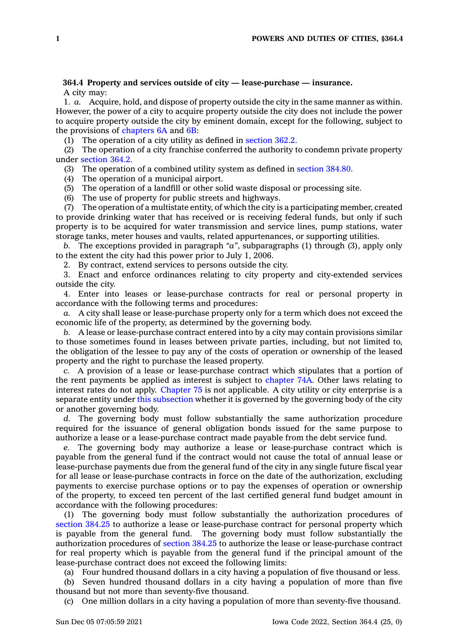## **364.4 Property and services outside of city — lease-purchase — insurance.** A city may:

1. *a.* Acquire, hold, and dispose of property outside the city in the same manner as within. However, the power of <sup>a</sup> city to acquire property outside the city does not include the power to acquire property outside the city by eminent domain, except for the following, subject to the provisions of [chapters](https://www.legis.iowa.gov/docs/code//6A.pdf) 6A and [6B](https://www.legis.iowa.gov/docs/code//6B.pdf):

(1) The operation of a city utility as defined in [section](https://www.legis.iowa.gov/docs/code/362.2.pdf) 362.2.

(2) The operation of <sup>a</sup> city franchise conferred the authority to condemn private property under [section](https://www.legis.iowa.gov/docs/code/364.2.pdf) 364.2.

(3) The operation of <sup>a</sup> combined utility system as defined in [section](https://www.legis.iowa.gov/docs/code/384.80.pdf) 384.80.

(4) The operation of <sup>a</sup> municipal airport.

(5) The operation of <sup>a</sup> landfill or other solid waste disposal or processing site.

(6) The use of property for public streets and highways.

(7) The operation of <sup>a</sup> multistate entity, of which the city is <sup>a</sup> participating member, created to provide drinking water that has received or is receiving federal funds, but only if such property is to be acquired for water transmission and service lines, pump stations, water storage tanks, meter houses and vaults, related appurtenances, or supporting utilities.

*b.* The exceptions provided in paragraph *"a"*, subparagraphs (1) through (3), apply only to the extent the city had this power prior to July 1, 2006.

2. By contract, extend services to persons outside the city.

3. Enact and enforce ordinances relating to city property and city-extended services outside the city.

4. Enter into leases or lease-purchase contracts for real or personal property in accordance with the following terms and procedures:

*a.* A city shall lease or lease-purchase property only for <sup>a</sup> term which does not exceed the economic life of the property, as determined by the governing body.

*b.* A lease or lease-purchase contract entered into by <sup>a</sup> city may contain provisions similar to those sometimes found in leases between private parties, including, but not limited to, the obligation of the lessee to pay any of the costs of operation or ownership of the leased property and the right to purchase the leased property.

*c.* A provision of <sup>a</sup> lease or lease-purchase contract which stipulates that <sup>a</sup> portion of the rent payments be applied as interest is subject to [chapter](https://www.legis.iowa.gov/docs/code//74A.pdf) 74A. Other laws relating to interest rates do not apply. [Chapter](https://www.legis.iowa.gov/docs/code//75.pdf) 75 is not applicable. A city utility or city enterprise is <sup>a</sup> separate entity under this [subsection](https://www.legis.iowa.gov/docs/code/364.4.pdf) whether it is governed by the governing body of the city or another governing body.

*d.* The governing body must follow substantially the same authorization procedure required for the issuance of general obligation bonds issued for the same purpose to authorize <sup>a</sup> lease or <sup>a</sup> lease-purchase contract made payable from the debt service fund.

*e.* The governing body may authorize <sup>a</sup> lease or lease-purchase contract which is payable from the general fund if the contract would not cause the total of annual lease or lease-purchase payments due from the general fund of the city in any single future fiscal year for all lease or lease-purchase contracts in force on the date of the authorization, excluding payments to exercise purchase options or to pay the expenses of operation or ownership of the property, to exceed ten percent of the last certified general fund budget amount in accordance with the following procedures:

(1) The governing body must follow substantially the authorization procedures of [section](https://www.legis.iowa.gov/docs/code/384.25.pdf) 384.25 to authorize <sup>a</sup> lease or lease-purchase contract for personal property which is payable from the general fund. The governing body must follow substantially the authorization procedures of [section](https://www.legis.iowa.gov/docs/code/384.25.pdf) 384.25 to authorize the lease or lease-purchase contract for real property which is payable from the general fund if the principal amount of the lease-purchase contract does not exceed the following limits:

(a) Four hundred thousand dollars in <sup>a</sup> city having <sup>a</sup> population of five thousand or less.

(b) Seven hundred thousand dollars in <sup>a</sup> city having <sup>a</sup> population of more than five thousand but not more than seventy-five thousand.

(c) One million dollars in <sup>a</sup> city having <sup>a</sup> population of more than seventy-five thousand.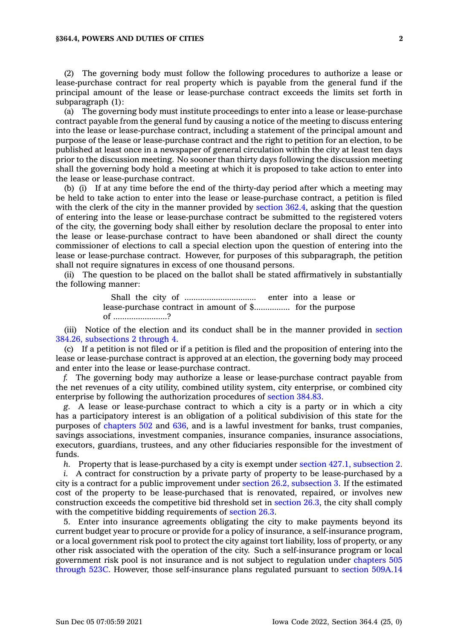(2) The governing body must follow the following procedures to authorize <sup>a</sup> lease or lease-purchase contract for real property which is payable from the general fund if the principal amount of the lease or lease-purchase contract exceeds the limits set forth in subparagraph (1):

(a) The governing body must institute proceedings to enter into <sup>a</sup> lease or lease-purchase contract payable from the general fund by causing <sup>a</sup> notice of the meeting to discuss entering into the lease or lease-purchase contract, including <sup>a</sup> statement of the principal amount and purpose of the lease or lease-purchase contract and the right to petition for an election, to be published at least once in <sup>a</sup> newspaper of general circulation within the city at least ten days prior to the discussion meeting. No sooner than thirty days following the discussion meeting shall the governing body hold <sup>a</sup> meeting at which it is proposed to take action to enter into the lease or lease-purchase contract.

(b) (i) If at any time before the end of the thirty-day period after which <sup>a</sup> meeting may be held to take action to enter into the lease or lease-purchase contract, <sup>a</sup> petition is filed with the clerk of the city in the manner provided by [section](https://www.legis.iowa.gov/docs/code/362.4.pdf) 362.4, asking that the question of entering into the lease or lease-purchase contract be submitted to the registered voters of the city, the governing body shall either by resolution declare the proposal to enter into the lease or lease-purchase contract to have been abandoned or shall direct the county commissioner of elections to call <sup>a</sup> special election upon the question of entering into the lease or lease-purchase contract. However, for purposes of this subparagraph, the petition shall not require signatures in excess of one thousand persons.

(ii) The question to be placed on the ballot shall be stated affirmatively in substantially the following manner:

> Shall the city of ................................ enter into <sup>a</sup> lease or lease-purchase contract in amount of \$................ for the purpose of ........................?

(iii) Notice of the election and its conduct shall be in the manner provided in [section](https://www.legis.iowa.gov/docs/code/384.26.pdf) 384.26, [subsections](https://www.legis.iowa.gov/docs/code/384.26.pdf) 2 through 4.

(c) If <sup>a</sup> petition is not filed or if <sup>a</sup> petition is filed and the proposition of entering into the lease or lease-purchase contract is approved at an election, the governing body may proceed and enter into the lease or lease-purchase contract.

*f.* The governing body may authorize <sup>a</sup> lease or lease-purchase contract payable from the net revenues of <sup>a</sup> city utility, combined utility system, city enterprise, or combined city enterprise by following the authorization procedures of [section](https://www.legis.iowa.gov/docs/code/384.83.pdf) 384.83.

*g.* A lease or lease-purchase contract to which <sup>a</sup> city is <sup>a</sup> party or in which <sup>a</sup> city has <sup>a</sup> participatory interest is an obligation of <sup>a</sup> political subdivision of this state for the purposes of [chapters](https://www.legis.iowa.gov/docs/code//502.pdf) 502 and [636](https://www.legis.iowa.gov/docs/code//636.pdf), and is <sup>a</sup> lawful investment for banks, trust companies, savings associations, investment companies, insurance companies, insurance associations, executors, guardians, trustees, and any other fiduciaries responsible for the investment of funds.

*h.* Property that is lease-purchased by <sup>a</sup> city is exempt under section 427.1, [subsection](https://www.legis.iowa.gov/docs/code/427.1.pdf) 2.

*i.* A contract for construction by <sup>a</sup> private party of property to be lease-purchased by <sup>a</sup> city is <sup>a</sup> contract for <sup>a</sup> public improvement under section 26.2, [subsection](https://www.legis.iowa.gov/docs/code/26.2.pdf) 3. If the estimated cost of the property to be lease-purchased that is renovated, repaired, or involves new construction exceeds the competitive bid threshold set in [section](https://www.legis.iowa.gov/docs/code/26.3.pdf) 26.3, the city shall comply with the competitive bidding requirements of [section](https://www.legis.iowa.gov/docs/code/26.3.pdf) 26.3.

5. Enter into insurance agreements obligating the city to make payments beyond its current budget year to procure or provide for <sup>a</sup> policy of insurance, <sup>a</sup> self-insurance program, or <sup>a</sup> local government risk pool to protect the city against tort liability, loss of property, or any other risk associated with the operation of the city. Such <sup>a</sup> self-insurance program or local government risk pool is not insurance and is not subject to regulation under [chapters](https://www.legis.iowa.gov/docs/code/505.pdf) 505 [through](https://www.legis.iowa.gov/docs/code/505.pdf) 523C. However, those self-insurance plans regulated pursuant to section [509A.14](https://www.legis.iowa.gov/docs/code/509A.14.pdf)